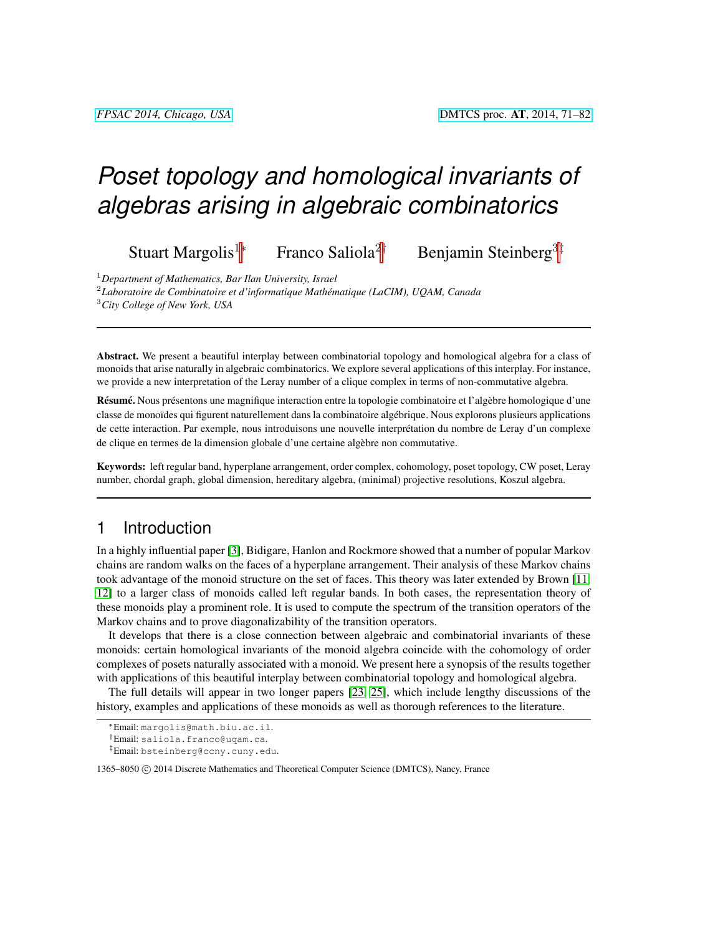# *Poset topology and homological invariants of algebras arising in algebraic combinatorics*

Stuart Margolis<sup>1∗</sup> Franco Saliola<sup>2†</sup> Benjamin Steinberg<sup>3‡</sup>

<sup>1</sup>*Department of Mathematics, Bar Ilan University, Israel*

2 *Laboratoire de Combinatoire et d'informatique Mathematique (LaCIM), UQAM, Canada ´*

<sup>3</sup>*City College of New York, USA*

Abstract. We present a beautiful interplay between combinatorial topology and homological algebra for a class of monoids that arise naturally in algebraic combinatorics. We explore several applications of this interplay. For instance, we provide a new interpretation of the Leray number of a clique complex in terms of non-commutative algebra.

Résumé. Nous présentons une magnifique interaction entre la topologie combinatoire et l'algèbre homologique d'une classe de monoïdes qui figurent naturellement dans la combinatoire algébrique. Nous explorons plusieurs applications de cette interaction. Par exemple, nous introduisons une nouvelle interprétation du nombre de Leray d'un complexe de clique en termes de la dimension globale d'une certaine algebre non commutative. `

Keywords: left regular band, hyperplane arrangement, order complex, cohomology, poset topology, CW poset, Leray number, chordal graph, global dimension, hereditary algebra, (minimal) projective resolutions, Koszul algebra.

## 1 Introduction

In a highly influential paper [\[3\]](#page-10-0), Bidigare, Hanlon and Rockmore showed that a number of popular Markov chains are random walks on the faces of a hyperplane arrangement. Their analysis of these Markov chains took advantage of the monoid structure on the set of faces. This theory was later extended by Brown [\[11,](#page-10-1) [12\]](#page-10-2) to a larger class of monoids called left regular bands. In both cases, the representation theory of these monoids play a prominent role. It is used to compute the spectrum of the transition operators of the Markov chains and to prove diagonalizability of the transition operators.

It develops that there is a close connection between algebraic and combinatorial invariants of these monoids: certain homological invariants of the monoid algebra coincide with the cohomology of order complexes of posets naturally associated with a monoid. We present here a synopsis of the results together with applications of this beautiful interplay between combinatorial topology and homological algebra.

The full details will appear in two longer papers [\[23,](#page-11-0) [25\]](#page-11-1), which include lengthy discussions of the history, examples and applications of these monoids as well as thorough references to the literature.

1365–8050 (C) 2014 Discrete Mathematics and Theoretical Computer Science (DMTCS), Nancy, France

<sup>∗</sup>Email: margolis@math.biu.ac.il.

<sup>†</sup>Email: saliola.franco@uqam.ca.

<sup>‡</sup>Email: bsteinberg@ccny.cuny.edu.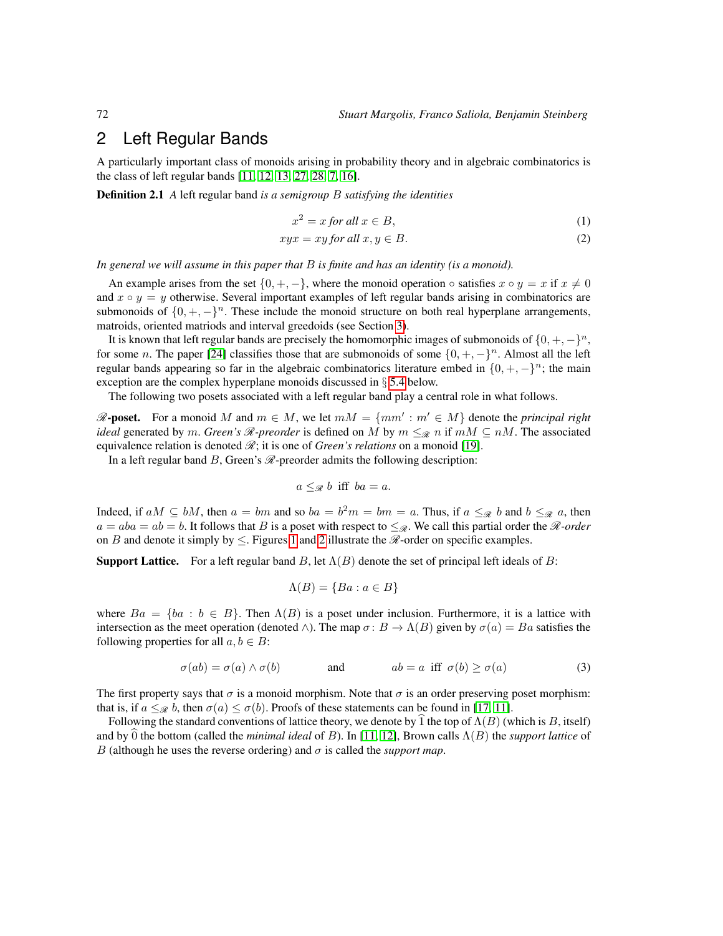## <span id="page-1-1"></span>2 Left Regular Bands

A particularly important class of monoids arising in probability theory and in algebraic combinatorics is the class of left regular bands [\[11,](#page-10-1) [12,](#page-10-2) [13,](#page-11-2) [27,](#page-11-3) [28,](#page-11-4) [7,](#page-10-3) [16\]](#page-11-5).

Definition 2.1 *A* left regular band *is a semigroup* B *satisfying the identities*

<span id="page-1-0"></span>
$$
x^2 = x \text{ for all } x \in B,
$$
\n<sup>(1)</sup>

$$
xyx = xy \text{ for all } x, y \in B. \tag{2}
$$

*In general we will assume in this paper that* B *is finite and has an identity (is a monoid).*

An example arises from the set  $\{0, +, -\}$ , where the monoid operation  $\circ$  satisfies  $x \circ y = x$  if  $x \neq 0$ and  $x \circ y = y$  otherwise. Several important examples of left regular bands arising in combinatorics are submonoids of  $\{0, +, -\}^n$ . These include the monoid structure on both real hyperplane arrangements, matroids, oriented matriods and interval greedoids (see Section [3\)](#page-2-0).

It is known that left regular bands are precisely the homomorphic images of submonoids of  $\{0, +, -\}^n$ , for some n. The paper [\[24\]](#page-11-6) classifies those that are submonoids of some  $\{0, +, -\}^n$ . Almost all the left regular bands appearing so far in the algebraic combinatorics literature embed in  $\{0, +, -\}^n$ ; the main exception are the complex hyperplane monoids discussed in § [5.4](#page-6-0) below.

The following two posets associated with a left regular band play a central role in what follows.

 $\mathscr{R}\text{-}\mathbf{poset.}$  For a monoid M and  $m \in M$ , we let  $mM = \{mm' : m' \in M\}$  denote the *principal right ideal* generated by m. *Green's*  $\mathcal{R}$ -preorder is defined on M by  $m \leq_{\mathcal{R}} n$  if  $mM \subseteq nM$ . The associated equivalence relation is denoted  $\mathscr R$ ; it is one of *Green's relations* on a monoid [\[19\]](#page-11-7).

In a left regular band  $B$ , Green's  $\mathcal{R}$ -preorder admits the following description:

$$
a \leq_{\mathscr{R}} b \text{ iff } ba = a.
$$

Indeed, if  $aM \subseteq bM$ , then  $a = bm$  and so  $ba = b^2m = bm = a$ . Thus, if  $a \leq_{\mathcal{R}} b$  and  $b \leq_{\mathcal{R}} a$ , then  $a = aba = ab = b$ . It follows that B is a poset with respect to  $\leq_{\mathscr{R}}$ . We call this partial order the  $\mathscr{R}\text{-}order$ on B and denote it simply by  $\leq$ . Figures [1](#page-2-1) and [2](#page-3-0) illustrate the  $\mathcal{R}$ -order on specific examples.

**Support Lattice.** For a left regular band B, let  $\Lambda(B)$  denote the set of principal left ideals of B:

$$
\Lambda(B) = \{ Ba : a \in B \}
$$

where  $Ba = \{ba : b \in B\}$ . Then  $\Lambda(B)$  is a poset under inclusion. Furthermore, it is a lattice with intersection as the meet operation (denoted  $\wedge$ ). The map  $\sigma: B \to \Lambda(B)$  given by  $\sigma(a) = Ba$  satisfies the following properties for all  $a, b \in B$ :

$$
\sigma(ab) = \sigma(a) \land \sigma(b) \qquad \text{and} \qquad ab = a \text{ iff } \sigma(b) \ge \sigma(a) \tag{3}
$$

The first property says that  $\sigma$  is a monoid morphism. Note that  $\sigma$  is an order preserving poset morphism: that is, if  $a \leq_{\mathcal{R}} b$ , then  $\sigma(a) \leq \sigma(b)$ . Proofs of these statements can be found in [\[17,](#page-11-8) [11\]](#page-10-1).

Following the standard conventions of lattice theory, we denote by  $\hat{1}$  the top of  $\Lambda(B)$  (which is B, itself) and by 0 the bottom (called the *minimal ideal* of B). In [\[11,](#page-10-1) [12\]](#page-10-2), Brown calls  $\Lambda(B)$  the *support lattice* of B (although he uses the reverse ordering) and σ is called the *support map*.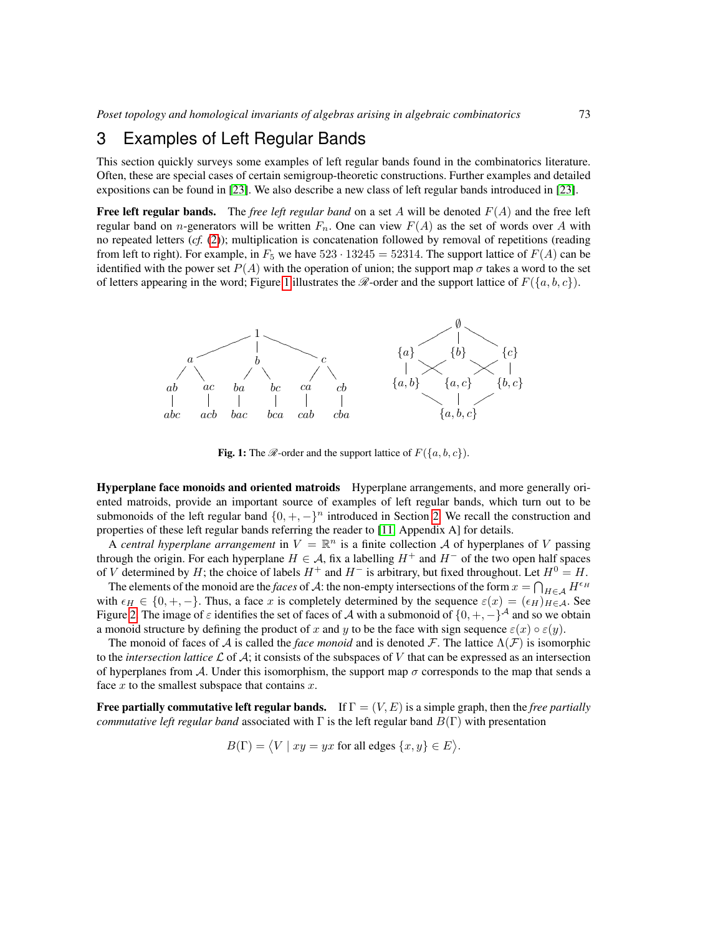## <span id="page-2-0"></span>3 Examples of Left Regular Bands

This section quickly surveys some examples of left regular bands found in the combinatorics literature. Often, these are special cases of certain semigroup-theoretic constructions. Further examples and detailed expositions can be found in [\[23\]](#page-11-0). We also describe a new class of left regular bands introduced in [\[23\]](#page-11-0).

**Free left regular bands.** The *free left regular band* on a set A will be denoted  $F(A)$  and the free left regular band on *n*-generators will be written  $F_n$ . One can view  $F(A)$  as the set of words over A with no repeated letters (*cf.* [\(2\)](#page-1-0)); multiplication is concatenation followed by removal of repetitions (reading from left to right). For example, in  $F_5$  we have  $523 \cdot 13245 = 52314$ . The support lattice of  $F(A)$  can be identified with the power set  $P(A)$  with the operation of union; the support map  $\sigma$  takes a word to the set of letters appearing in the word; Figure [1](#page-2-1) illustrates the  $\mathcal{R}$ -order and the support lattice of  $F({a, b, c})$ .



<span id="page-2-1"></span>**Fig. 1:** The  $\mathcal{R}$ -order and the support lattice of  $F({a, b, c})$ .

Hyperplane face monoids and oriented matroids Hyperplane arrangements, and more generally oriented matroids, provide an important source of examples of left regular bands, which turn out to be submonoids of the left regular band  $\{0, +, -\}^n$  introduced in Section [2.](#page-1-1) We recall the construction and properties of these left regular bands referring the reader to [\[11,](#page-10-1) Appendix A] for details.

A *central hyperplane arrangement* in  $V = \mathbb{R}^n$  is a finite collection A of hyperplanes of V passing through the origin. For each hyperplane  $H \in \mathcal{A}$ , fix a labelling  $H^+$  and  $H^-$  of the two open half spaces of V determined by H; the choice of labels  $H^+$  and  $H^-$  is arbitrary, but fixed throughout. Let  $H^0 = H$ .

The elements of the monoid are the *faces* of A: the non-empty intersections of the form  $x = \bigcap_{H \in \mathcal{A}} H^{\epsilon_H}$ with  $\epsilon_H \in \{0, +, -\}$ . Thus, a face x is completely determined by the sequence  $\varepsilon(x) = (\epsilon_H)_{H \in \mathcal{A}}$ . See Figure [2.](#page-3-0) The image of  $\varepsilon$  identifies the set of faces of A with a submonoid of  $\{0, +, -\}^{\mathcal{A}}$  and so we obtain a monoid structure by defining the product of x and y to be the face with sign sequence  $\varepsilon(x) \circ \varepsilon(y)$ .

The monoid of faces of A is called the *face monoid* and is denoted F. The lattice  $\Lambda(F)$  is isomorphic to the *intersection lattice*  $\mathcal L$  of  $\mathcal A$ ; it consists of the subspaces of V that can be expressed as an intersection of hyperplanes from A. Under this isomorphism, the support map  $\sigma$  corresponds to the map that sends a face  $x$  to the smallest subspace that contains  $x$ .

**Free partially commutative left regular bands.** If  $\Gamma = (V, E)$  is a simple graph, then the *free partially commutative left regular band* associated with  $\Gamma$  is the left regular band  $B(\Gamma)$  with presentation

 $B(\Gamma) = \langle V | xy = yx \text{ for all edges } \{x, y\} \in E \rangle.$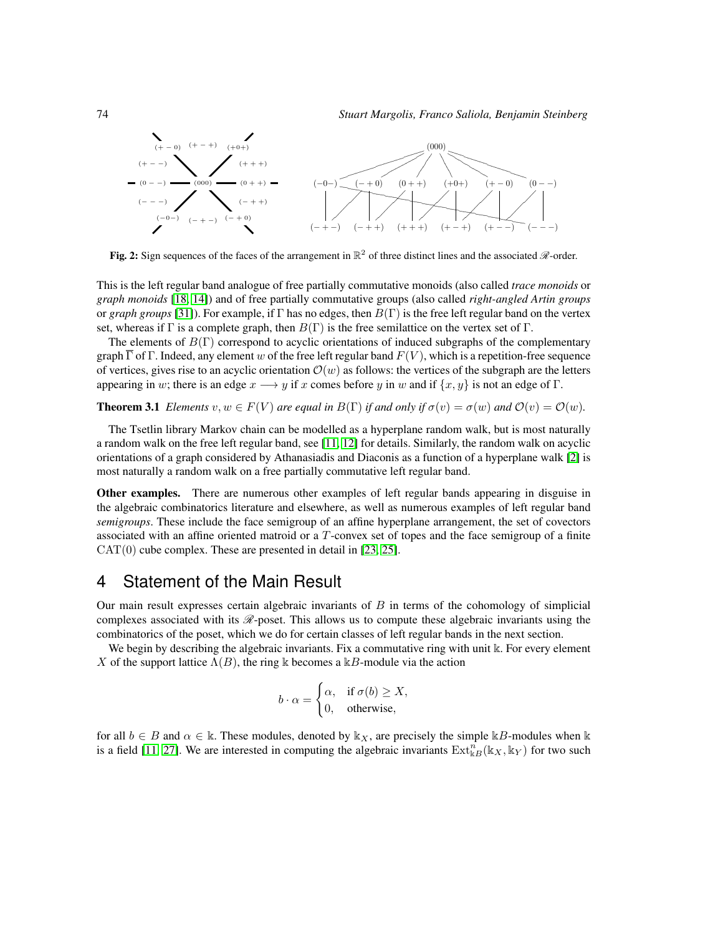

<span id="page-3-0"></span>Fig. 2: Sign sequences of the faces of the arrangement in  $\mathbb{R}^2$  of three distinct lines and the associated  $\mathcal{R}$ -order.

This is the left regular band analogue of free partially commutative monoids (also called *trace monoids* or *graph monoids* [\[18,](#page-11-9) [14\]](#page-11-10)) and of free partially commutative groups (also called *right-angled Artin groups* or *graph groups* [\[31\]](#page-11-11)). For example, if  $\Gamma$  has no edges, then  $B(\Gamma)$  is the free left regular band on the vertex set, whereas if Γ is a complete graph, then  $B(\Gamma)$  is the free semilattice on the vertex set of Γ.

The elements of  $B(\Gamma)$  correspond to acyclic orientations of induced subgraphs of the complementary graph  $\overline{\Gamma}$  of  $\Gamma$ . Indeed, any element w of the free left regular band  $F(V)$ , which is a repetition-free sequence of vertices, gives rise to an acyclic orientation  $\mathcal{O}(w)$  as follows: the vertices of the subgraph are the letters appearing in w; there is an edge  $x \rightarrow y$  if x comes before y in w and if  $\{x, y\}$  is not an edge of  $\Gamma$ .

**Theorem 3.1** *Elements*  $v, w \in F(V)$  *are equal in*  $B(\Gamma)$  *if and only if*  $\sigma(v) = \sigma(w)$  *and*  $\mathcal{O}(v) = \mathcal{O}(w)$ *.* 

The Tsetlin library Markov chain can be modelled as a hyperplane random walk, but is most naturally a random walk on the free left regular band, see [\[11,](#page-10-1) [12\]](#page-10-2) for details. Similarly, the random walk on acyclic orientations of a graph considered by Athanasiadis and Diaconis as a function of a hyperplane walk [\[2\]](#page-10-4) is most naturally a random walk on a free partially commutative left regular band.

Other examples. There are numerous other examples of left regular bands appearing in disguise in the algebraic combinatorics literature and elsewhere, as well as numerous examples of left regular band *semigroups*. These include the face semigroup of an affine hyperplane arrangement, the set of covectors associated with an affine oriented matroid or a T-convex set of topes and the face semigroup of a finite CAT(0) cube complex. These are presented in detail in [\[23,](#page-11-0) [25\]](#page-11-1).

## <span id="page-3-1"></span>4 Statement of the Main Result

Our main result expresses certain algebraic invariants of  $B$  in terms of the cohomology of simplicial complexes associated with its  $\mathcal{R}\text{-}$  poset. This allows us to compute these algebraic invariants using the combinatorics of the poset, which we do for certain classes of left regular bands in the next section.

We begin by describing the algebraic invariants. Fix a commutative ring with unit k. For every element X of the support lattice  $\Lambda(B)$ , the ring k becomes a kB-module via the action

$$
b \cdot \alpha = \begin{cases} \alpha, & \text{if } \sigma(b) \ge X, \\ 0, & \text{otherwise,} \end{cases}
$$

for all  $b \in B$  and  $\alpha \in \mathbb{k}$ . These modules, denoted by  $\mathbb{k}_X$ , are precisely the simple  $\mathbb{k}B$ -modules when  $\mathbb{k}$ is a field [\[11,](#page-10-1) [27\]](#page-11-3). We are interested in computing the algebraic invariants  $\text{Ext}_{kB}^n(\mathbb{k}_X, \mathbb{k}_Y)$  for two such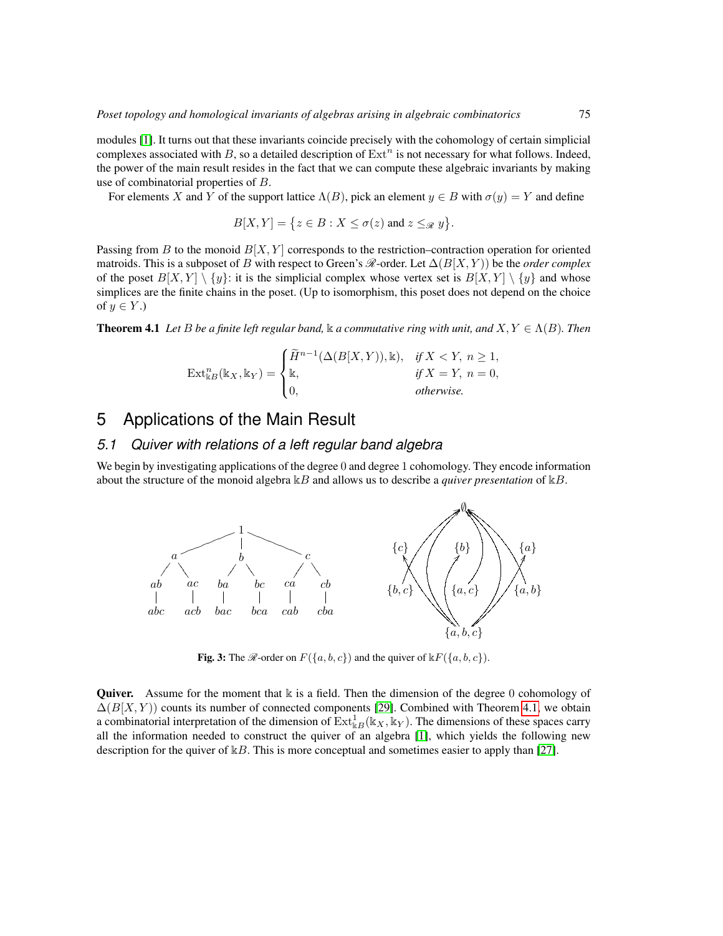modules [\[1\]](#page-10-5). It turns out that these invariants coincide precisely with the cohomology of certain simplicial complexes associated with B, so a detailed description of  $Ext<sup>n</sup>$  is not necessary for what follows. Indeed, the power of the main result resides in the fact that we can compute these algebraic invariants by making use of combinatorial properties of B.

For elements X and Y of the support lattice  $\Lambda(B)$ , pick an element  $y \in B$  with  $\sigma(y) = Y$  and define

$$
B[X,Y] = \{ z \in B : X \le \sigma(z) \text{ and } z \leq_{\mathcal{R}} y \}.
$$

Passing from B to the monoid  $B[X, Y]$  corresponds to the restriction–contraction operation for oriented matroids. This is a subposet of B with respect to Green's  $\mathcal{R}\text{-order}$ . Let  $\Delta(B[X, Y))$  be the *order complex* of the poset  $B[X, Y] \setminus \{y\}$ : it is the simplicial complex whose vertex set is  $B[X, Y] \setminus \{y\}$  and whose simplices are the finite chains in the poset. (Up to isomorphism, this poset does not depend on the choice of  $y \in Y$ .)

<span id="page-4-0"></span>**Theorem 4.1** Let B be a finite left regular band,  $\Bbbk$  a commutative ring with unit, and  $X, Y \in \Lambda(B)$ . Then

$$
\operatorname{Ext}\nolimits^n_{\Bbbk B}(\Bbbk_X,\Bbbk_Y)=\begin{cases} \widetilde{H}^{n-1}(\Delta(B[X,Y)),\Bbbk), & \text{if $X
$$

# 5 Applications of the Main Result

#### *5.1 Quiver with relations of a left regular band algebra*

We begin by investigating applications of the degree 0 and degree 1 cohomology. They encode information about the structure of the monoid algebra  $kB$  and allows us to describe a *quiver presentation* of  $kB$ .



<span id="page-4-1"></span>Fig. 3: The  $\mathcal{R}$ -order on  $F({a, b, c})$  and the quiver of  $\mathbb{E}F({a, b, c})$ .

<span id="page-4-2"></span>**Quiver.** Assume for the moment that  $\bf{k}$  is a field. Then the dimension of the degree 0 cohomology of  $\Delta(B|X, Y)$  counts its number of connected components [\[29\]](#page-11-12). Combined with Theorem [4.1,](#page-4-0) we obtain a combinatorial interpretation of the dimension of  $\text{Ext}^1_{\mathbb{k}B}(\mathbb{k}_X, \mathbb{k}_Y)$ . The dimensions of these spaces carry all the information needed to construct the quiver of an algebra [\[1\]](#page-10-5), which yields the following new description for the quiver of  $k$ B. This is more conceptual and sometimes easier to apply than [\[27\]](#page-11-3).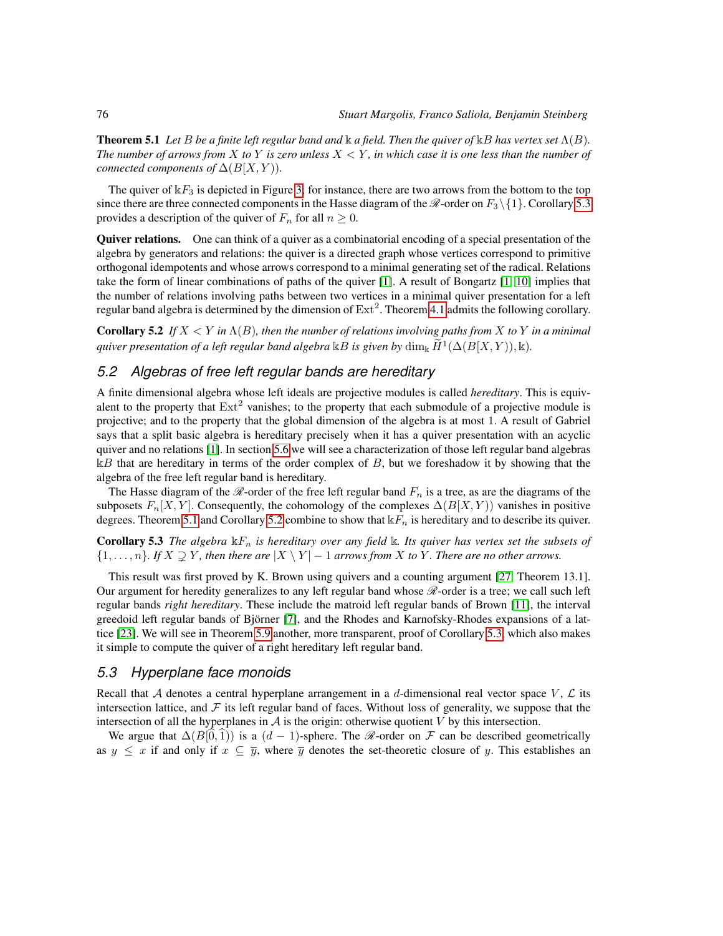**Theorem 5.1** Let B be a finite left regular band and  $\Bbbk$  a field. Then the quiver of  $\Bbbk B$  has vertex set  $\Lambda(B)$ . *The number of arrows from*  $X$  *to*  $Y$  *is zero unless*  $X \leq Y$ *, in which case it is one less than the number of connected components of*  $\Delta(B[X, Y))$ *.* 

The quiver of  $kF_3$  is depicted in Figure [3;](#page-4-1) for instance, there are two arrows from the bottom to the top since there are three connected components in the Hasse diagram of the  $\mathcal{R}$ -order on  $F_3\setminus\{1\}$ . Corollary [5.3](#page-5-0) provides a description of the quiver of  $F_n$  for all  $n \geq 0$ .

Quiver relations. One can think of a quiver as a combinatorial encoding of a special presentation of the algebra by generators and relations: the quiver is a directed graph whose vertices correspond to primitive orthogonal idempotents and whose arrows correspond to a minimal generating set of the radical. Relations take the form of linear combinations of paths of the quiver [\[1\]](#page-10-5). A result of Bongartz [\[1,](#page-10-5) [10\]](#page-10-6) implies that the number of relations involving paths between two vertices in a minimal quiver presentation for a left regular band algebra is determined by the dimension of  $\text{Ext}^2$ . Theorem [4.1](#page-4-0) admits the following corollary.

<span id="page-5-1"></span>Corollary 5.2 *If*  $X < Y$  *in*  $\Lambda(B)$ *, then the number of relations involving paths from*  $X$  *to*  $Y$  *in a minimal* quiver presentation of a left regular band algebra  $\Bbbk B$  is given by  $\dim_{\Bbbk}\widetilde{H}^1(\Delta(B[X,Y)),\Bbbk).$ 

#### <span id="page-5-3"></span>*5.2 Algebras of free left regular bands are hereditary*

A finite dimensional algebra whose left ideals are projective modules is called *hereditary*. This is equivalent to the property that  $Ext<sup>2</sup>$  vanishes; to the property that each submodule of a projective module is projective; and to the property that the global dimension of the algebra is at most 1. A result of Gabriel says that a split basic algebra is hereditary precisely when it has a quiver presentation with an acyclic quiver and no relations [\[1\]](#page-10-5). In section [5.6](#page-7-0) we will see a characterization of those left regular band algebras  $kB$  that are hereditary in terms of the order complex of B, but we foreshadow it by showing that the algebra of the free left regular band is hereditary.

The Hasse diagram of the  $\mathcal{R}$ -order of the free left regular band  $F_n$  is a tree, as are the diagrams of the subposets  $F_n[X, Y]$ . Consequently, the cohomology of the complexes  $\Delta(B[X, Y))$  vanishes in positive degrees. Theorem [5.1](#page-4-2) and Corollary [5.2](#page-5-1) combine to show that  $kF_n$  is hereditary and to describe its quiver.

<span id="page-5-0"></span>**Corollary 5.3** *The algebra*  $\mathbb{k}F_n$  *is hereditary over any field*  $\mathbb{k}$ *. Its quiver has vertex set the subsets of*  $\{1,\ldots,n\}$ *. If*  $X \supseteq Y$ *, then there are*  $|X \setminus Y| - 1$  *arrows from* X *to* Y*. There are no other arrows.* 

This result was first proved by K. Brown using quivers and a counting argument [\[27,](#page-11-3) Theorem 13.1]. Our argument for heredity generalizes to any left regular band whose  $\mathcal{R}$ -order is a tree; we call such left regular bands *right hereditary*. These include the matroid left regular bands of Brown [\[11\]](#page-10-1), the interval greedoid left regular bands of Björner [\[7\]](#page-10-3), and the Rhodes and Karnofsky-Rhodes expansions of a lattice [\[23\]](#page-11-0). We will see in Theorem [5.9](#page-7-1) another, more transparent, proof of Corollary [5.3,](#page-5-0) which also makes it simple to compute the quiver of a right hereditary left regular band.

#### <span id="page-5-2"></span>*5.3 Hyperplane face monoids*

Recall that A denotes a central hyperplane arrangement in a d-dimensional real vector space  $V, \mathcal{L}$  its intersection lattice, and  $\mathcal F$  its left regular band of faces. Without loss of generality, we suppose that the intersection of all the hyperplanes in  $A$  is the origin: otherwise quotient  $V$  by this intersection.

We argue that  $\Delta(B[0,1))$  is a  $(d-1)$ -sphere. The  $\mathcal{R}$ -order on  $\mathcal F$  can be described geometrically as  $y \leq x$  if and only if  $x \subseteq \overline{y}$ , where  $\overline{y}$  denotes the set-theoretic closure of y. This establishes an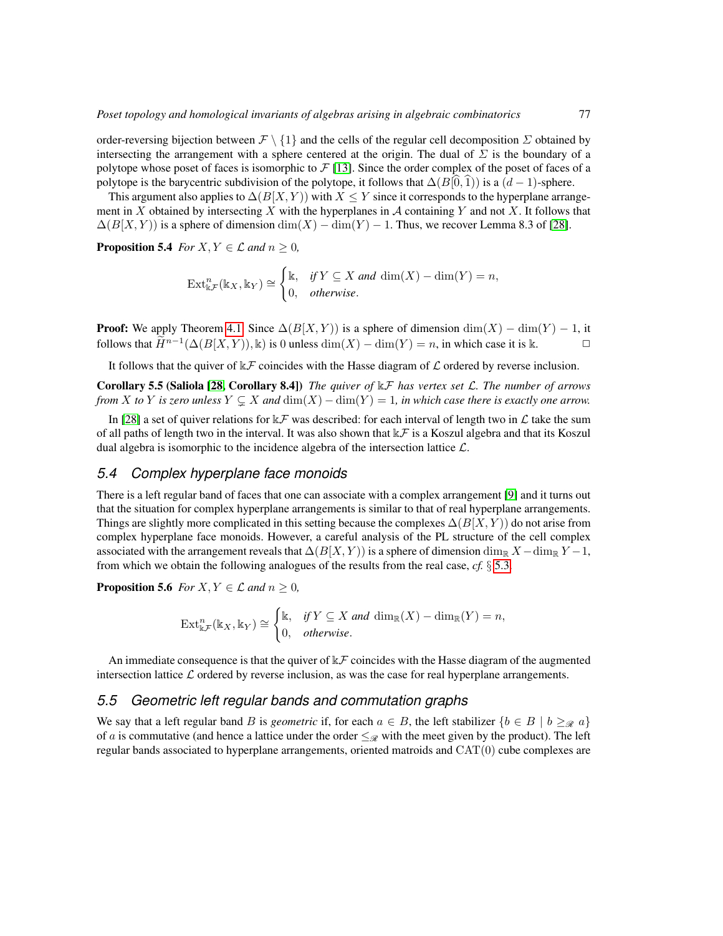order-reversing bijection between  $\mathcal{F} \setminus \{1\}$  and the cells of the regular cell decomposition  $\Sigma$  obtained by intersecting the arrangement with a sphere centered at the origin. The dual of  $\Sigma$  is the boundary of a polytope whose poset of faces is isomorphic to  $\mathcal{F}[13]$  $\mathcal{F}[13]$ . Since the order complex of the poset of faces of a polytope is the barycentric subdivision of the polytope, it follows that  $\Delta(B|0, 1)$ ) is a  $(d - 1)$ -sphere.

This argument also applies to  $\Delta(B[X, Y))$  with  $X \leq Y$  since it corresponds to the hyperplane arrangement in X obtained by intersecting X with the hyperplanes in  $\mathcal A$  containing Y and not X. It follows that  $\Delta(B|X, Y)$ ) is a sphere of dimension  $\dim(X) - \dim(Y) - 1$ . Thus, we recover Lemma 8.3 of [\[28\]](#page-11-4).

**Proposition 5.4** *For*  $X, Y \in \mathcal{L}$  *and*  $n \geq 0$ *,* 

$$
\operatorname{Ext}^n_{\Bbbk\mathcal{F}}(\Bbbk_X,\Bbbk_Y)\cong\begin{cases} \mathbb{k}, & \text{if } Y\subseteq X \text{ and } \dim(X)-\dim(Y)=n, \\ 0, & \text{otherwise.} \end{cases}
$$

**Proof:** We apply Theorem [4.1.](#page-4-0) Since  $\Delta(B[X, Y))$  is a sphere of dimension  $\dim(X) - \dim(Y) - 1$ , it follows that  $\widetilde{H}^{n-1}(\Delta(B[X, Y)), \mathbb{k})$  is 0 unless  $\dim(X) - \dim(Y) = n$ , in which case it is  $\mathbb{k}$ . 
□

It follows that the quiver of  $\&\mathcal{F}$  coincides with the Hasse diagram of  $\mathcal{L}$  ordered by reverse inclusion.

Corollary 5.5 (Saliola [\[28,](#page-11-4) Corollary 8.4]) *The quiver of* kF *has vertex set* L*. The number of arrows from* X *to* Y *is zero unless*  $Y \subsetneq X$  *and*  $\dim(X) - \dim(Y) = 1$ *, in which case there is exactly one arrow.* 

In [\[28\]](#page-11-4) a set of quiver relations for  $\&\mathcal{F}$  was described: for each interval of length two in  $\mathcal L$  take the sum of all paths of length two in the interval. It was also shown that  $k\mathcal{F}$  is a Koszul algebra and that its Koszul dual algebra is isomorphic to the incidence algebra of the intersection lattice  $\mathcal{L}$ .

#### <span id="page-6-0"></span>*5.4 Complex hyperplane face monoids*

There is a left regular band of faces that one can associate with a complex arrangement [\[9\]](#page-10-7) and it turns out that the situation for complex hyperplane arrangements is similar to that of real hyperplane arrangements. Things are slightly more complicated in this setting because the complexes  $\Delta(B[X, Y))$  do not arise from complex hyperplane face monoids. However, a careful analysis of the PL structure of the cell complex associated with the arrangement reveals that  $\Delta(B[X, Y))$  is a sphere of dimension dim<sub>R</sub> X – dim<sub>R</sub> Y – 1, from which we obtain the following analogues of the results from the real case, *cf.* § [5.3.](#page-5-2)

**Proposition 5.6** *For*  $X, Y \in \mathcal{L}$  *and*  $n \geq 0$ *,* 

$$
\operatorname{Ext}^n_{\Bbbk\mathcal{F}}(\Bbbk_X,\Bbbk_Y)\cong\begin{cases} \mathbb{k}, & \text{if } Y\subseteq X \text{ and } \dim_{\Bbbk}(X)-\dim_{\Bbbk}(Y)=n, \\ 0, & \text{otherwise.} \end{cases}
$$

An immediate consequence is that the quiver of  $\mathbb{R} \mathcal{F}$  coincides with the Hasse diagram of the augmented intersection lattice  $\mathcal L$  ordered by reverse inclusion, as was the case for real hyperplane arrangements.

#### *5.5 Geometric left regular bands and commutation graphs*

We say that a left regular band B is *geometric* if, for each  $a \in B$ , the left stabilizer  $\{b \in B \mid b \geq_{\mathcal{R}} a\}$ of a is commutative (and hence a lattice under the order  $\leq_{\mathscr{R}}$  with the meet given by the product). The left regular bands associated to hyperplane arrangements, oriented matroids and CAT(0) cube complexes are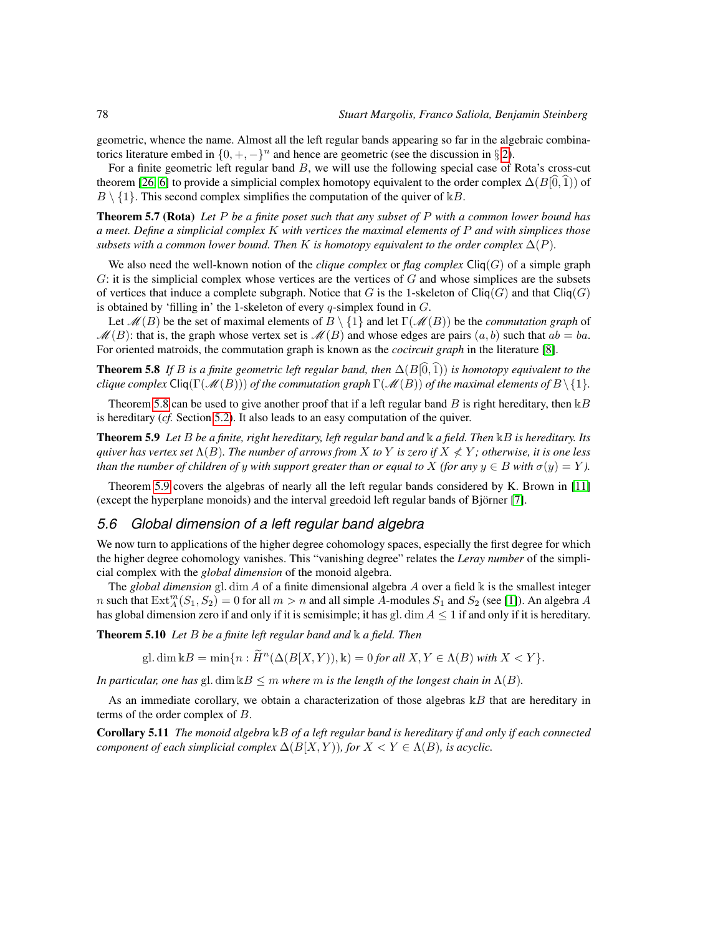geometric, whence the name. Almost all the left regular bands appearing so far in the algebraic combinatorics literature embed in  $\{0, +, -\}^n$  and hence are geometric (see the discussion in § [2\)](#page-1-1).

For a finite geometric left regular band B, we will use the following special case of Rota's cross-cut theorem [\[26,](#page-11-13) [6\]](#page-10-8) to provide a simplicial complex homotopy equivalent to the order complex  $\Delta(B|\hat{0}, \hat{1})$  of  $B \setminus \{1\}$ . This second complex simplifies the computation of the quiver of  $\mathbb{R}B$ .

Theorem 5.7 (Rota) *Let* P *be a finite poset such that any subset of* P *with a common lower bound has a meet. Define a simplicial complex* K *with vertices the maximal elements of* P *and with simplices those subsets with a common lower bound. Then* K *is homotopy equivalent to the order complex*  $\Delta(P)$ *.* 

We also need the well-known notion of the *clique complex* or *flag complex*  $\text{Cliq}(G)$  of a simple graph  $G$ : it is the simplicial complex whose vertices are the vertices of  $G$  and whose simplices are the subsets of vertices that induce a complete subgraph. Notice that G is the 1-skeleton of  $\text{Cliq}(G)$  and that  $\text{Cliq}(G)$ is obtained by 'filling in' the 1-skeleton of every  $q$ -simplex found in  $G$ .

Let  $\mathcal{M}(B)$  be the set of maximal elements of  $B \setminus \{1\}$  and let  $\Gamma(\mathcal{M}(B))$  be the *commutation graph* of  $\mathcal{M}(B)$ : that is, the graph whose vertex set is  $\mathcal{M}(B)$  and whose edges are pairs  $(a, b)$  such that  $ab = ba$ . For oriented matroids, the commutation graph is known as the *cocircuit graph* in the literature [\[8\]](#page-10-9).

<span id="page-7-2"></span>**Theorem 5.8** *If* B *is a finite geometric left regular band, then*  $\Delta(B|\widehat{0},\widehat{1})$ *) is homotopy equivalent to the clique complex*  $\text{Cliq}(\Gamma(\mathcal{M}(B)))$  *of the commutation graph*  $\Gamma(\mathcal{M}(B))$  *of the maximal elements of*  $B \setminus \{1\}$ *.* 

Theorem [5.8](#page-7-2) can be used to give another proof that if a left regular band  $B$  is right hereditary, then  $\Bbbk B$ is hereditary (*cf.* Section [5.2\)](#page-5-3). It also leads to an easy computation of the quiver.

<span id="page-7-1"></span>Theorem 5.9 *Let* B *be a finite, right hereditary, left regular band and* k *a field. Then* kB *is hereditary. Its quiver has vertex set*  $\Lambda(B)$ *. The number of arrows from* X *to* Y *is zero if*  $X \nleq Y$ *; otherwise, it is one less than the number of children of y with support greater than or equal to* X *(for any*  $y \in B$  *with*  $\sigma(y) = Y$ *).* 

Theorem [5.9](#page-7-1) covers the algebras of nearly all the left regular bands considered by K. Brown in [\[11\]](#page-10-1) (except the hyperplane monoids) and the interval greedoid left regular bands of Björner [\[7\]](#page-10-3).

#### <span id="page-7-0"></span>*5.6 Global dimension of a left regular band algebra*

We now turn to applications of the higher degree cohomology spaces, especially the first degree for which the higher degree cohomology vanishes. This "vanishing degree" relates the *Leray number* of the simplicial complex with the *global dimension* of the monoid algebra.

The *global dimension* gl. dim A of a finite dimensional algebra A over a field k is the smallest integer n such that  $\text{Ext}_{A}^{m}(S_1, S_2) = 0$  for all  $m > n$  and all simple A-modules  $S_1$  and  $S_2$  (see [\[1\]](#page-10-5)). An algebra A has global dimension zero if and only if it is semisimple; it has gl. dim  $A \leq 1$  if and only if it is hereditary.

<span id="page-7-3"></span>Theorem 5.10 *Let* B *be a finite left regular band and* k *a field. Then*

gl. dim  $\Bbbk B = \min\{n : \widetilde{H}^n(\Delta(B[X, Y)), \Bbbk) = 0$  for all  $X, Y \in \Lambda(B)$  with  $X < Y\}$ .

*In particular, one has* gl. dim  $kB \leq m$  *where* m *is the length of the longest chain in*  $\Lambda(B)$ *.* 

As an immediate corollary, we obtain a characterization of those algebras  $kB$  that are hereditary in terms of the order complex of B.

Corollary 5.11 *The monoid algebra* kB *of a left regular band is hereditary if and only if each connected component of each simplicial complex*  $\Delta(B[X, Y))$ *, for*  $X \le Y \in \Lambda(B)$ *, is acyclic.*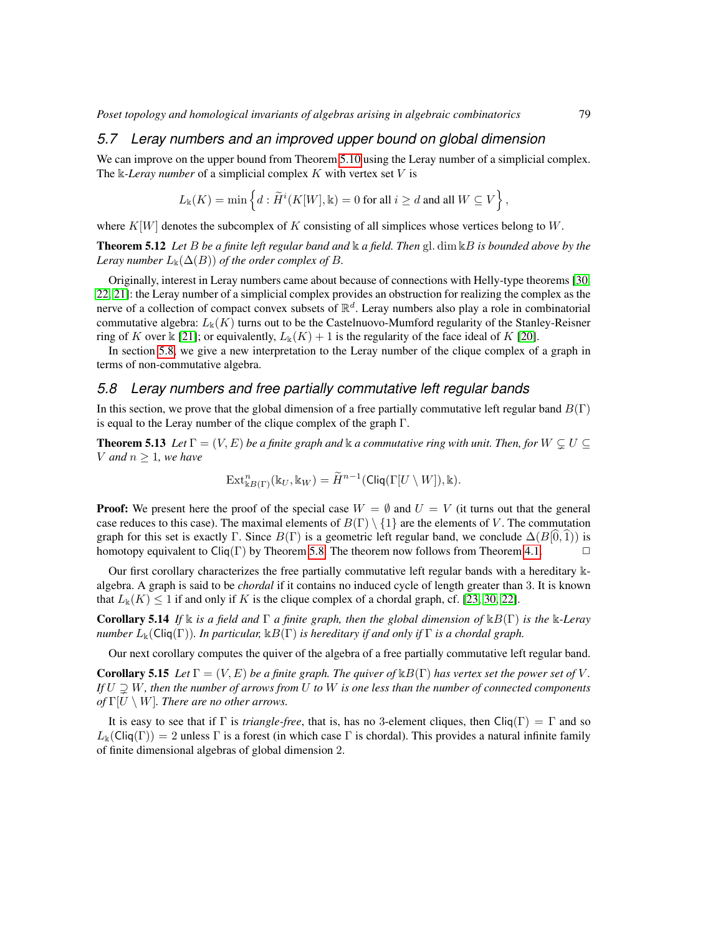#### *5.7 Leray numbers and an improved upper bound on global dimension*

We can improve on the upper bound from Theorem [5.10](#page-7-3) using the Leray number of a simplicial complex. The  $\Bbbk$ -*Leray number* of a simplicial complex K with vertex set V is

$$
L_{\mathbb{k}}(K) = \min\left\{d : \widetilde{H}^i(K[W], \mathbb{k}) = 0 \text{ for all } i \geq d \text{ and all } W \subseteq V\right\},\
$$

where  $K[W]$  denotes the subcomplex of K consisting of all simplices whose vertices belong to W.

Theorem 5.12 *Let* B *be a finite left regular band and* k *a field. Then* gl. dim kB *is bounded above by the Leray number*  $L_k(\Delta(B))$  *of the order complex of*  $B$ *.* 

Originally, interest in Leray numbers came about because of connections with Helly-type theorems [\[30,](#page-11-14) [22,](#page-11-15) [21\]](#page-11-16): the Leray number of a simplicial complex provides an obstruction for realizing the complex as the nerve of a collection of compact convex subsets of  $\mathbb{R}^d$ . Leray numbers also play a role in combinatorial commutative algebra:  $L_k(K)$  turns out to be the Castelnuovo-Mumford regularity of the Stanley-Reisner ring of K over  $\Bbbk$  [\[21\]](#page-11-16); or equivalently,  $L_{\Bbbk}(K) + 1$  is the regularity of the face ideal of K [\[20\]](#page-11-17).

In section [5.8,](#page-8-0) we give a new interpretation to the Leray number of the clique complex of a graph in terms of non-commutative algebra.

#### <span id="page-8-0"></span>*5.8 Leray numbers and free partially commutative left regular bands*

In this section, we prove that the global dimension of a free partially commutative left regular band  $B(\Gamma)$ is equal to the Leray number of the clique complex of the graph Γ.

**Theorem 5.13** *Let*  $\Gamma = (V, E)$  *be a finite graph and*  $\Bbbk$  *a commutative ring with unit. Then, for*  $W \subseteq U \subseteq$ *V* and  $n \geq 1$ , we have

$$
\operatorname{Ext}^n_{\Bbbk B(\Gamma)}(\Bbbk_U,\Bbbk_W)=\widetilde{H}^{n-1}(\operatorname{Cliq}(\Gamma[U\setminus W]),\Bbbk).
$$

**Proof:** We present here the proof of the special case  $W = \emptyset$  and  $U = V$  (it turns out that the general case reduces to this case). The maximal elements of  $B(\Gamma) \setminus \{1\}$  are the elements of V. The commutation graph for this set is exactly Γ. Since  $B(\Gamma)$  is a geometric left regular band, we conclude  $\Delta(B[0,1))$  is homotony equivalent to Cliq(Γ) by Theorem 5.8. The theorem now follows from Theorem 4.1 homotopy equivalent to Cliq(Γ) by Theorem [5.8.](#page-7-2) The theorem now follows from Theorem [4.1.](#page-4-0)

Our first corollary characterizes the free partially commutative left regular bands with a hereditary kalgebra. A graph is said to be *chordal* if it contains no induced cycle of length greater than 3. It is known that  $L_k(K) \leq 1$  if and only if K is the clique complex of a chordal graph, cf. [\[23,](#page-11-0) [30,](#page-11-14) [22\]](#page-11-15).

Corollary 5.14 *If* k *is a field and* Γ *a finite graph, then the global dimension of* kB(Γ) *is the* k*-Leray number*  $L_{\mathbb{k}}(\text{Cliq}(\Gamma))$ *. In particular,*  $\mathbb{k}B(\Gamma)$  *is hereditary if and only if*  $\Gamma$  *is a chordal graph.* 

Our next corollary computes the quiver of the algebra of a free partially commutative left regular band.

**Corollary 5.15** *Let*  $\Gamma = (V, E)$  *be a finite graph. The quiver of*  $\mathbb{E}B(\Gamma)$  *has vertex set the power set of* V. *If*  $U \supsetneq W$ , then the number of arrows from U to W is one less than the number of connected components *of*  $\Gamma[U \setminus W]$ *. There are no other arrows.* 

It is easy to see that if  $\Gamma$  is *triangle-free*, that is, has no 3-element cliques, then Cliq( $\Gamma$ ) =  $\Gamma$  and so  $L_k(\text{Cliq}(\Gamma)) = 2$  unless Γ is a forest (in which case Γ is chordal). This provides a natural infinite family of finite dimensional algebras of global dimension 2.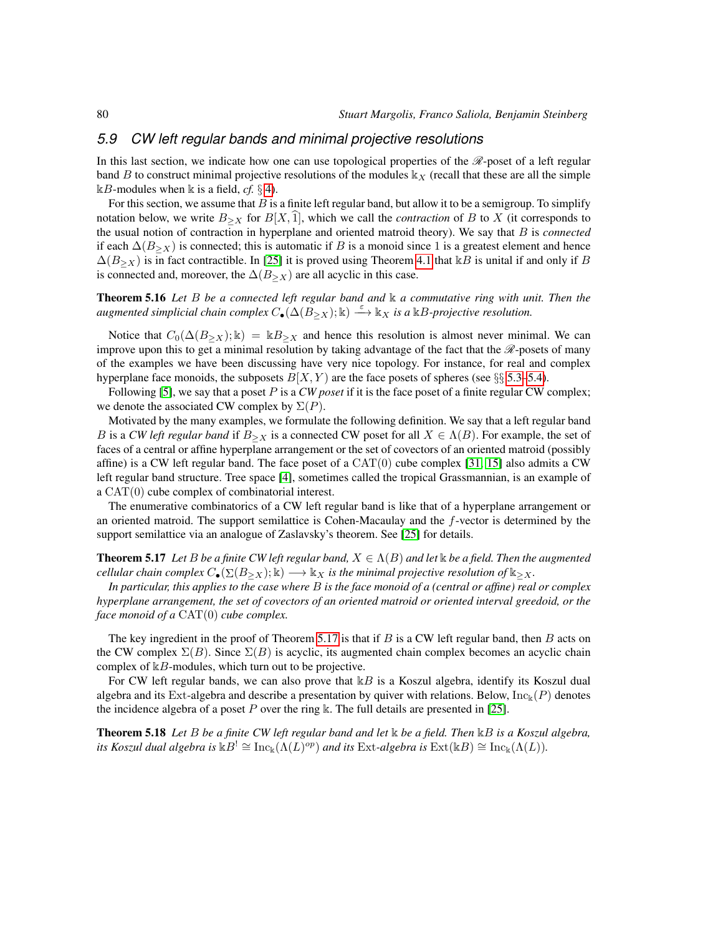#### *5.9 CW left regular bands and minimal projective resolutions*

In this last section, we indicate how one can use topological properties of the  $\mathcal{R}\text{-}$ poset of a left regular band B to construct minimal projective resolutions of the modules  $\mathbb{k}_X$  (recall that these are all the simple  $\mathbb{R}$ B-modules when  $\mathbb{R}$  is a field, *cf*. § [4\)](#page-3-1).

For this section, we assume that  $B$  is a finite left regular band, but allow it to be a semigroup. To simplify notation below, we write  $B_{\geq X}$  for  $B[X, 1]$ , which we call the *contraction* of B to X (it corresponds to the usual notion of contraction in hyperplane and oriented matroid theory). We say that B is *connected* if each  $\Delta(B_{>X})$  is connected; this is automatic if B is a monoid since 1 is a greatest element and hence  $\Delta(B_{\geq X})$  is in fact contractible. In [\[25\]](#page-11-1) it is proved using Theorem [4.1](#page-4-0) that kB is unital if and only if B is connected and, moreover, the  $\Delta(B_{\geq X})$  are all acyclic in this case.

Theorem 5.16 *Let* B *be a connected left regular band and* k *a commutative ring with unit. Then the*  $a$ ugmented simplicial chain complex  $C_{\bullet}(\Delta(B_{\geq X}); \Bbbk) \stackrel{\varepsilon}{\longrightarrow} \Bbbk_X$  is a  $\Bbbk B$ -projective resolution.

Notice that  $C_0(\Delta(B_{\geq X}); \mathbb{k}) = \mathbb{k}B_{\geq X}$  and hence this resolution is almost never minimal. We can improve upon this to get a minimal resolution by taking advantage of the fact that the  $\mathcal{R}$ -posets of many of the examples we have been discussing have very nice topology. For instance, for real and complex hyperplane face monoids, the subposets  $B[X, Y)$  are the face posets of spheres (see §§ [5.3](#page-5-2)[–5.4\)](#page-6-0).

Following [\[5\]](#page-10-10), we say that a poset P is a *CW poset* if it is the face poset of a finite regular CW complex; we denote the associated CW complex by  $\Sigma(P)$ .

Motivated by the many examples, we formulate the following definition. We say that a left regular band B is a *CW left regular band* if  $B_{\geq X}$  is a connected CW poset for all  $X \in \Lambda(B)$ . For example, the set of faces of a central or affine hyperplane arrangement or the set of covectors of an oriented matroid (possibly affine) is a CW left regular band. The face poset of a  $CAT(0)$  cube complex [\[31,](#page-11-11) [15\]](#page-11-18) also admits a CW left regular band structure. Tree space [\[4\]](#page-10-11), sometimes called the tropical Grassmannian, is an example of a CAT(0) cube complex of combinatorial interest.

The enumerative combinatorics of a CW left regular band is like that of a hyperplane arrangement or an oriented matroid. The support semilattice is Cohen-Macaulay and the f-vector is determined by the support semilattice via an analogue of Zaslavsky's theorem. See [\[25\]](#page-11-1) for details.

<span id="page-9-0"></span>**Theorem 5.17** *Let* B *be a finite CW left regular band,*  $X \in \Lambda(B)$  *and let* k *be a field. Then the augmented cellular chain complex*  $C_{\bullet}(\Sigma(B_{>X}); \Bbbk) \longrightarrow \Bbbk_X$  *is the minimal projective resolution of*  $\Bbbk_{\geq X}$ *.* 

*In particular, this applies to the case where* B *is the face monoid of a (central or affine) real or complex hyperplane arrangement, the set of covectors of an oriented matroid or oriented interval greedoid, or the face monoid of a* CAT(0) *cube complex.*

The key ingredient in the proof of Theorem [5.17](#page-9-0) is that if  $B$  is a CW left regular band, then  $B$  acts on the CW complex  $\Sigma(B)$ . Since  $\Sigma(B)$  is acyclic, its augmented chain complex becomes an acyclic chain complex of  $kB$ -modules, which turn out to be projective.

For CW left regular bands, we can also prove that  $kB$  is a Koszul algebra, identify its Koszul dual algebra and its Ext-algebra and describe a presentation by quiver with relations. Below,  $\text{Inc}_k(P)$  denotes the incidence algebra of a poset P over the ring k. The full details are presented in [\[25\]](#page-11-1).

Theorem 5.18 *Let* B *be a finite CW left regular band and let* k *be a field. Then* kB *is a Koszul algebra, its Koszul dual algebra is*  $kB^! \cong \text{Inc}_k(\Lambda(L)^{op})$  *and its Ext-algebra is*  $\text{Ext}(kB) \cong \text{Inc}_k(\Lambda(L))$ *.*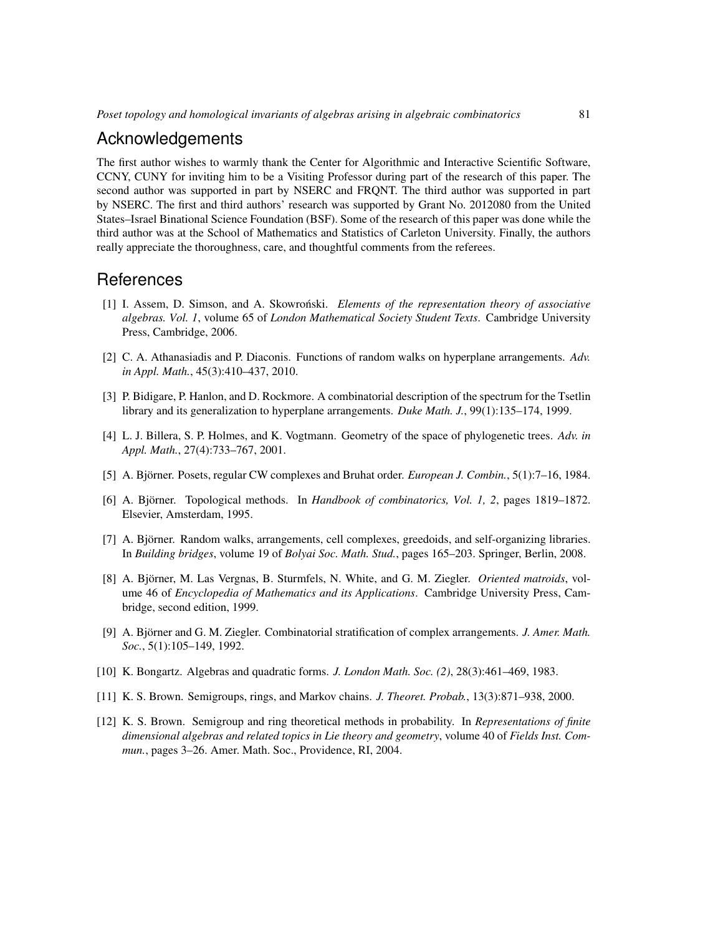## Acknowledgements

The first author wishes to warmly thank the Center for Algorithmic and Interactive Scientific Software, CCNY, CUNY for inviting him to be a Visiting Professor during part of the research of this paper. The second author was supported in part by NSERC and FRQNT. The third author was supported in part by NSERC. The first and third authors' research was supported by Grant No. 2012080 from the United States–Israel Binational Science Foundation (BSF). Some of the research of this paper was done while the third author was at the School of Mathematics and Statistics of Carleton University. Finally, the authors really appreciate the thoroughness, care, and thoughtful comments from the referees.

### **References**

- <span id="page-10-5"></span>[1] I. Assem, D. Simson, and A. Skowronski. ´ *Elements of the representation theory of associative algebras. Vol. 1*, volume 65 of *London Mathematical Society Student Texts*. Cambridge University Press, Cambridge, 2006.
- <span id="page-10-4"></span>[2] C. A. Athanasiadis and P. Diaconis. Functions of random walks on hyperplane arrangements. *Adv. in Appl. Math.*, 45(3):410–437, 2010.
- <span id="page-10-0"></span>[3] P. Bidigare, P. Hanlon, and D. Rockmore. A combinatorial description of the spectrum for the Tsetlin library and its generalization to hyperplane arrangements. *Duke Math. J.*, 99(1):135–174, 1999.
- <span id="page-10-11"></span>[4] L. J. Billera, S. P. Holmes, and K. Vogtmann. Geometry of the space of phylogenetic trees. *Adv. in Appl. Math.*, 27(4):733–767, 2001.
- <span id="page-10-10"></span>[5] A. Björner. Posets, regular CW complexes and Bruhat order. *European J. Combin.*, 5(1):7–16, 1984.
- <span id="page-10-8"></span>[6] A. Björner. Topological methods. In *Handbook of combinatorics, Vol. 1, 2*, pages 1819–1872. Elsevier, Amsterdam, 1995.
- <span id="page-10-3"></span>[7] A. Björner. Random walks, arrangements, cell complexes, greedoids, and self-organizing libraries. In *Building bridges*, volume 19 of *Bolyai Soc. Math. Stud.*, pages 165–203. Springer, Berlin, 2008.
- <span id="page-10-9"></span>[8] A. Björner, M. Las Vergnas, B. Sturmfels, N. White, and G. M. Ziegler. *Oriented matroids*, volume 46 of *Encyclopedia of Mathematics and its Applications*. Cambridge University Press, Cambridge, second edition, 1999.
- <span id="page-10-7"></span>[9] A. Björner and G. M. Ziegler. Combinatorial stratification of complex arrangements. *J. Amer. Math. Soc.*, 5(1):105–149, 1992.
- <span id="page-10-6"></span>[10] K. Bongartz. Algebras and quadratic forms. *J. London Math. Soc. (2)*, 28(3):461–469, 1983.
- <span id="page-10-1"></span>[11] K. S. Brown. Semigroups, rings, and Markov chains. *J. Theoret. Probab.*, 13(3):871–938, 2000.
- <span id="page-10-2"></span>[12] K. S. Brown. Semigroup and ring theoretical methods in probability. In *Representations of finite dimensional algebras and related topics in Lie theory and geometry*, volume 40 of *Fields Inst. Commun.*, pages 3–26. Amer. Math. Soc., Providence, RI, 2004.